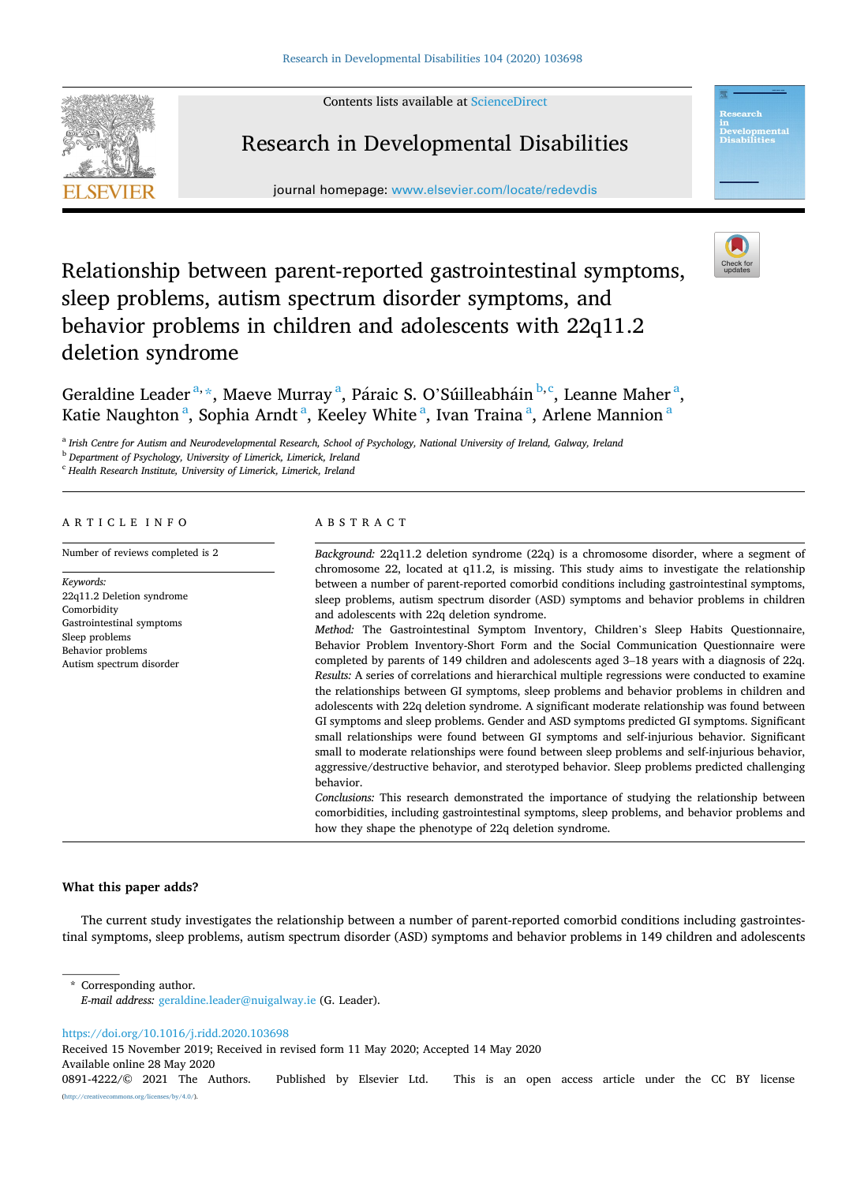Contents lists available at [ScienceDirect](www.sciencedirect.com/science/journal/08914222)



# Research in Developmental Disabilities

journal homepage: [www.elsevier.com/locate/redevdis](https://www.elsevier.com/locate/redevdis) 



# Relationship between parent-reported gastrointestinal symptoms, sleep problems, autism spectrum disorder symptoms, and behavior problems in children and adolescents with 22q11.2 deletion syndrome

Geraldine Leader<sup>a,\*</sup>, Maeve Murray<sup>a</sup>, Páraic S. O'Súilleabháin <sup>b,c</sup>, Leanne Maher<sup>a</sup>, Katie Naughton<sup>a</sup>, Sophia Arndt<sup>a</sup>, Keeley White<sup>a</sup>, Ivan Traina<sup>a</sup>, Arlene Mannion<sup>a</sup>

<sup>a</sup> *Irish Centre for Autism and Neurodevelopmental Research, School of Psychology, National University of Ireland, Galway, Ireland* 

<sup>b</sup> *Department of Psychology, University of Limerick, Limerick, Ireland* 

<sup>c</sup> *Health Research Institute, University of Limerick, Limerick, Ireland* 

## ARTICLE INFO

Number of reviews completed is 2

*Keywords:*  22q11.2 Deletion syndrome Comorbidity Gastrointestinal symptoms Sleep problems Behavior problems Autism spectrum disorder

### ABSTRACT

*Background:* 22q11.2 deletion syndrome (22q) is a chromosome disorder, where a segment of chromosome 22, located at q11.2, is missing. This study aims to investigate the relationship between a number of parent-reported comorbid conditions including gastrointestinal symptoms, sleep problems, autism spectrum disorder (ASD) symptoms and behavior problems in children and adolescents with 22q deletion syndrome. *Method:* The Gastrointestinal Symptom Inventory, Children's Sleep Habits Questionnaire, Behavior Problem Inventory-Short Form and the Social Communication Questionnaire were completed by parents of 149 children and adolescents aged 3–18 years with a diagnosis of 22q. *Results:* A series of correlations and hierarchical multiple regressions were conducted to examine the relationships between GI symptoms, sleep problems and behavior problems in children and adolescents with 22q deletion syndrome. A significant moderate relationship was found between GI symptoms and sleep problems. Gender and ASD symptoms predicted GI symptoms. Significant

small relationships were found between GI symptoms and self-injurious behavior. Significant small to moderate relationships were found between sleep problems and self-injurious behavior, aggressive/destructive behavior, and sterotyped behavior. Sleep problems predicted challenging behavior.

*Conclusions:* This research demonstrated the importance of studying the relationship between comorbidities, including gastrointestinal symptoms, sleep problems, and behavior problems and how they shape the phenotype of 22q deletion syndrome.

## **What this paper adds?**

The current study investigates the relationship between a number of parent-reported comorbid conditions including gastrointestinal symptoms, sleep problems, autism spectrum disorder (ASD) symptoms and behavior problems in 149 children and adolescents

Corresponding author.

<https://doi.org/10.1016/j.ridd.2020.103698>

Received 15 November 2019; Received in revised form 11 May 2020; Accepted 14 May 2020

Available online 28 May 2020

*E-mail address:* [geraldine.leader@nuigalway.ie](mailto:geraldine.leader@nuigalway.ie) (G. Leader).

<sup>0891-4222/© 2021</sup> The Authors. Published by Elsevier Ltd. This is an open access article under the CC BY license [\(http://creativecommons.org/licenses/by/4.0/\)](http://creativecommons.org/licenses/by/4.0/).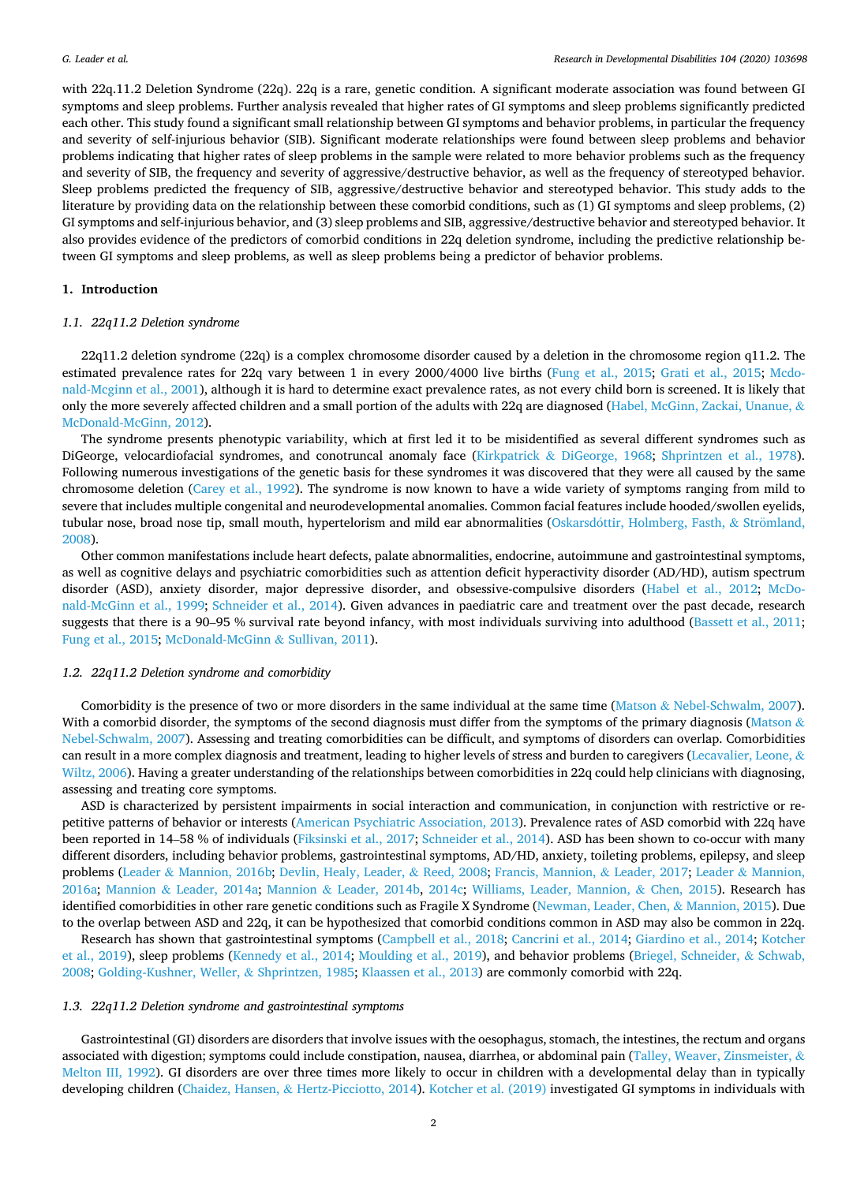with 22q.11.2 Deletion Syndrome (22q). 22q is a rare, genetic condition. A significant moderate association was found between GI symptoms and sleep problems. Further analysis revealed that higher rates of GI symptoms and sleep problems significantly predicted each other. This study found a significant small relationship between GI symptoms and behavior problems, in particular the frequency and severity of self-injurious behavior (SIB). Significant moderate relationships were found between sleep problems and behavior problems indicating that higher rates of sleep problems in the sample were related to more behavior problems such as the frequency and severity of SIB, the frequency and severity of aggressive/destructive behavior, as well as the frequency of stereotyped behavior. Sleep problems predicted the frequency of SIB, aggressive/destructive behavior and stereotyped behavior. This study adds to the literature by providing data on the relationship between these comorbid conditions, such as (1) GI symptoms and sleep problems, (2) GI symptoms and self-injurious behavior, and (3) sleep problems and SIB, aggressive/destructive behavior and stereotyped behavior. It also provides evidence of the predictors of comorbid conditions in 22q deletion syndrome, including the predictive relationship between GI symptoms and sleep problems, as well as sleep problems being a predictor of behavior problems.

## **1. Introduction**

## *1.1. 22q11.2 Deletion syndrome*

22q11.2 deletion syndrome (22q) is a complex chromosome disorder caused by a deletion in the chromosome region q11.2. The estimated prevalence rates for 22q vary between 1 in every 2000/4000 live births [\(Fung et al., 2015](#page-9-0); [Grati et al., 2015;](#page-9-0) [Mcdo](#page-10-0)[nald-Mcginn et al., 2001](#page-10-0)), although it is hard to determine exact prevalence rates, as not every child born is screened. It is likely that only the more severely affected children and a small portion of the adults with 22q are diagnosed ([Habel, McGinn, Zackai, Unanue,](#page-9-0) & [McDonald-McGinn, 2012\)](#page-9-0).

The syndrome presents phenotypic variability, which at first led it to be misidentified as several different syndromes such as DiGeorge, velocardiofacial syndromes, and conotruncal anomaly face (Kirkpatrick & [DiGeorge, 1968](#page-9-0); [Shprintzen et al., 1978](#page-10-0)). Following numerous investigations of the genetic basis for these syndromes it was discovered that they were all caused by the same chromosome deletion [\(Carey et al., 1992](#page-9-0)). The syndrome is now known to have a wide variety of symptoms ranging from mild to severe that includes multiple congenital and neurodevelopmental anomalies. Common facial features include hooded/swollen eyelids, tubular nose, broad nose tip, small mouth, hypertelorism and mild ear abnormalities (Oskarsdottir, [Holmberg, Fasth,](#page-10-0) & Strömland, [2008\)](#page-10-0).

Other common manifestations include heart defects, palate abnormalities, endocrine, autoimmune and gastrointestinal symptoms, as well as cognitive delays and psychiatric comorbidities such as attention deficit hyperactivity disorder (AD/HD), autism spectrum disorder (ASD), anxiety disorder, major depressive disorder, and obsessive-compulsive disorders ([Habel et al., 2012](#page-9-0); [McDo](#page-10-0)[nald-McGinn et al., 1999](#page-10-0); [Schneider et al., 2014](#page-10-0)). Given advances in paediatric care and treatment over the past decade, research suggests that there is a 90–95 % survival rate beyond infancy, with most individuals surviving into adulthood [\(Bassett et al., 2011](#page-9-0); [Fung et al., 2015](#page-9-0); [McDonald-McGinn](#page-10-0) & Sullivan, 2011).

#### *1.2. 22q11.2 Deletion syndrome and comorbidity*

Comorbidity is the presence of two or more disorders in the same individual at the same time (Matson & [Nebel-Schwalm, 2007](#page-10-0)). With a comorbid disorder, the symptoms of the second diagnosis must differ from the symptoms of the primary diagnosis [\(Matson](#page-10-0)  $\&$ [Nebel-Schwalm, 2007](#page-10-0)). Assessing and treating comorbidities can be difficult, and symptoms of disorders can overlap. Comorbidities can result in a more complex diagnosis and treatment, leading to higher levels of stress and burden to caregivers ([Lecavalier, Leone,](#page-9-0) & [Wiltz, 2006\)](#page-9-0). Having a greater understanding of the relationships between comorbidities in 22q could help clinicians with diagnosing, assessing and treating core symptoms.

ASD is characterized by persistent impairments in social interaction and communication, in conjunction with restrictive or repetitive patterns of behavior or interests ([American Psychiatric Association, 2013](#page-9-0)). Prevalence rates of ASD comorbid with 22q have been reported in 14–58 % of individuals ([Fiksinski et al., 2017](#page-9-0); [Schneider et al., 2014](#page-10-0)). ASD has been shown to co-occur with many different disorders, including behavior problems, gastrointestinal symptoms, AD/HD, anxiety, toileting problems, epilepsy, and sleep problems (Leader & [Mannion, 2016b; Devlin, Healy, Leader,](#page-9-0) & Reed, 2008; [Francis, Mannion,](#page-9-0) & Leader, 2017; Leader & [Mannion,](#page-9-0) [2016a](#page-9-0); Mannion & [Leader, 2014a](#page-9-0); Mannion & [Leader, 2014b](#page-9-0), [2014c;](#page-9-0) [Williams, Leader, Mannion,](#page-10-0) & Chen, 2015). Research has identified comorbidities in other rare genetic conditions such as Fragile X Syndrome [\(Newman, Leader, Chen,](#page-10-0) & Mannion, 2015). Due to the overlap between ASD and 22q, it can be hypothesized that comorbid conditions common in ASD may also be common in 22q.

Research has shown that gastrointestinal symptoms ([Campbell et al., 2018](#page-9-0); [Cancrini et al., 2014](#page-9-0); [Giardino et al., 2014;](#page-9-0) [Kotcher](#page-9-0) [et al., 2019\)](#page-9-0), sleep problems [\(Kennedy et al., 2014](#page-9-0); [Moulding et al., 2019](#page-10-0)), and behavior problems ([Briegel, Schneider,](#page-9-0) & Schwab, [2008;](#page-9-0) [Golding-Kushner, Weller,](#page-9-0) & Shprintzen, 1985; [Klaassen et al., 2013\)](#page-9-0) are commonly comorbid with 22q.

#### *1.3. 22q11.2 Deletion syndrome and gastrointestinal symptoms*

Gastrointestinal (GI) disorders are disorders that involve issues with the oesophagus, stomach, the intestines, the rectum and organs associated with digestion; symptoms could include constipation, nausea, diarrhea, or abdominal pain [\(Talley, Weaver, Zinsmeister,](#page-10-0)  $\&$ [Melton III, 1992\)](#page-10-0). GI disorders are over three times more likely to occur in children with a developmental delay than in typically developing children (Chaidez, Hansen, & [Hertz-Picciotto, 2014\)](#page-9-0). [Kotcher et al. \(2019\)](#page-9-0) investigated GI symptoms in individuals with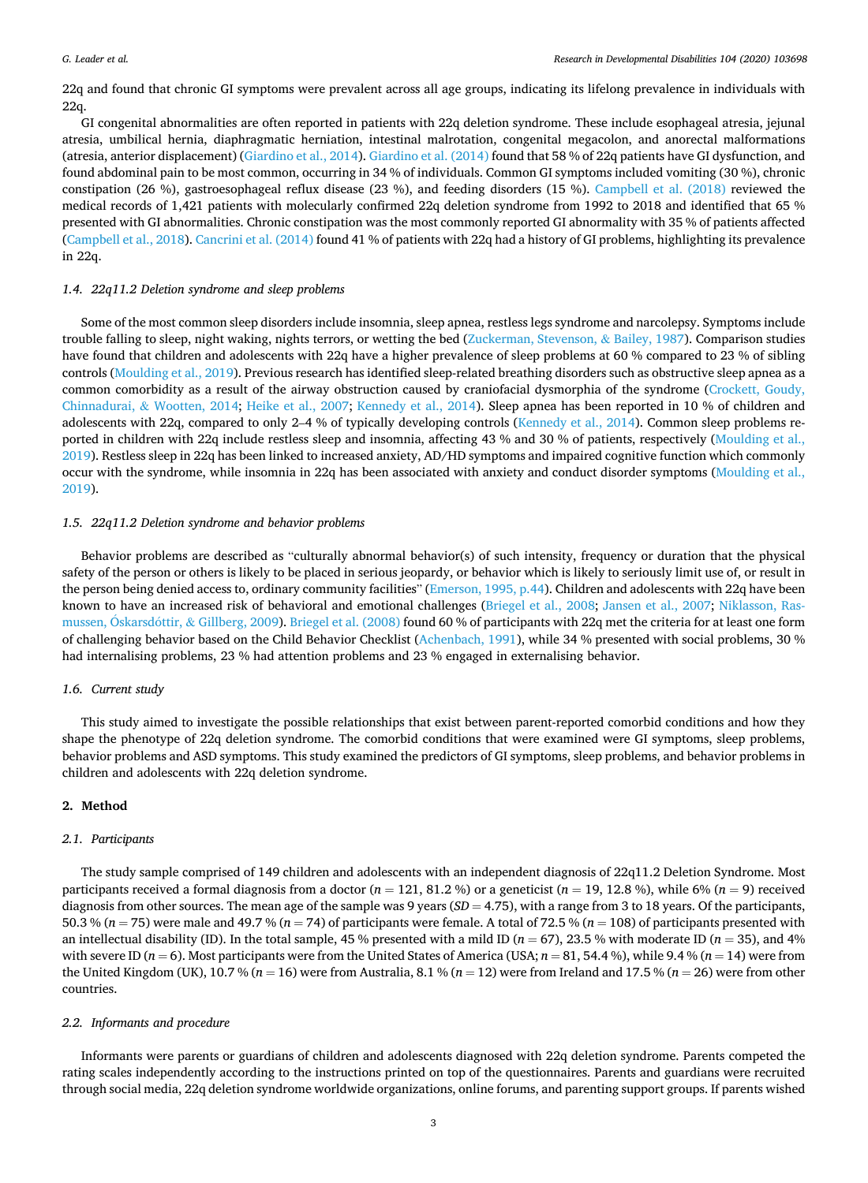22q and found that chronic GI symptoms were prevalent across all age groups, indicating its lifelong prevalence in individuals with 22q.

GI congenital abnormalities are often reported in patients with 22q deletion syndrome. These include esophageal atresia, jejunal atresia, umbilical hernia, diaphragmatic herniation, intestinal malrotation, congenital megacolon, and anorectal malformations (atresia, anterior displacement) [\(Giardino et al., 2014\)](#page-9-0). [Giardino et al. \(2014\)](#page-9-0) found that 58 % of 22q patients have GI dysfunction, and found abdominal pain to be most common, occurring in 34 % of individuals. Common GI symptoms included vomiting (30 %), chronic constipation (26 %), gastroesophageal reflux disease (23 %), and feeding disorders (15 %). [Campbell et al. \(2018\)](#page-9-0) reviewed the medical records of 1,421 patients with molecularly confirmed 22q deletion syndrome from 1992 to 2018 and identified that 65 % presented with GI abnormalities. Chronic constipation was the most commonly reported GI abnormality with 35 % of patients affected [\(Campbell et al., 2018\)](#page-9-0). [Cancrini et al. \(2014\)](#page-9-0) found 41 % of patients with 22q had a history of GI problems, highlighting its prevalence in 22q.

#### *1.4. 22q11.2 Deletion syndrome and sleep problems*

Some of the most common sleep disorders include insomnia, sleep apnea, restless legs syndrome and narcolepsy. Symptoms include trouble falling to sleep, night waking, nights terrors, or wetting the bed [\(Zuckerman, Stevenson,](#page-10-0) & Bailey, 1987). Comparison studies have found that children and adolescents with 22q have a higher prevalence of sleep problems at 60 % compared to 23 % of sibling controls ([Moulding et al., 2019](#page-10-0)). Previous research has identified sleep-related breathing disorders such as obstructive sleep apnea as a common comorbidity as a result of the airway obstruction caused by craniofacial dysmorphia of the syndrome ([Crockett, Goudy,](#page-9-0) Chinnadurai, & [Wootten, 2014;](#page-9-0) [Heike et al., 2007](#page-9-0); [Kennedy et al., 2014\)](#page-9-0). Sleep apnea has been reported in 10 % of children and adolescents with 22q, compared to only 2–4 % of typically developing controls [\(Kennedy et al., 2014](#page-9-0)). Common sleep problems reported in children with 22q include restless sleep and insomnia, affecting 43 % and 30 % of patients, respectively ([Moulding et al.,](#page-10-0) [2019\)](#page-10-0). Restless sleep in 22q has been linked to increased anxiety, AD/HD symptoms and impaired cognitive function which commonly occur with the syndrome, while insomnia in 22q has been associated with anxiety and conduct disorder symptoms [\(Moulding et al.,](#page-10-0) [2019\)](#page-10-0).

### *1.5. 22q11.2 Deletion syndrome and behavior problems*

Behavior problems are described as "culturally abnormal behavior(s) of such intensity, frequency or duration that the physical safety of the person or others is likely to be placed in serious jeopardy, or behavior which is likely to seriously limit use of, or result in the person being denied access to, ordinary community facilities" ([Emerson, 1995, p.44\)](#page-9-0). Children and adolescents with 22q have been known to have an increased risk of behavioral and emotional challenges ([Briegel et al., 2008](#page-9-0); [Jansen et al., 2007](#page-9-0); [Niklasson, Ras](#page-10-0)[mussen, Oskarsd](#page-10-0)óttir, & Gillberg, 2009). [Briegel et al. \(2008\)](#page-9-0) found 60 % of participants with 22q met the criteria for at least one form of challenging behavior based on the Child Behavior Checklist ([Achenbach, 1991](#page-9-0)), while 34 % presented with social problems, 30 % had internalising problems, 23 % had attention problems and 23 % engaged in externalising behavior.

#### *1.6. Current study*

This study aimed to investigate the possible relationships that exist between parent-reported comorbid conditions and how they shape the phenotype of 22q deletion syndrome. The comorbid conditions that were examined were GI symptoms, sleep problems, behavior problems and ASD symptoms. This study examined the predictors of GI symptoms, sleep problems, and behavior problems in children and adolescents with 22q deletion syndrome.

### **2. Method**

#### *2.1. Participants*

The study sample comprised of 149 children and adolescents with an independent diagnosis of 22q11.2 Deletion Syndrome. Most participants received a formal diagnosis from a doctor (*n* = 121, 81.2 %) or a geneticist (*n* = 19, 12.8 %), while 6% (*n* = 9) received diagnosis from other sources. The mean age of the sample was 9 years (*SD* = 4.75), with a range from 3 to 18 years. Of the participants, 50.3 % (*n* = 75) were male and 49.7 % (*n* = 74) of participants were female. A total of 72.5 % (*n* = 108) of participants presented with an intellectual disability (ID). In the total sample, 45 % presented with a mild ID ( $n = 67$ ), 23.5 % with moderate ID ( $n = 35$ ), and 4% with severe ID  $(n = 6)$ . Most participants were from the United States of America (USA;  $n = 81, 54.4\%$ ), while 9.4 %  $(n = 14)$  were from the United Kingdom (UK), 10.7 % ( $n = 16$ ) were from Australia, 8.1 % ( $n = 12$ ) were from Ireland and 17.5 % ( $n = 26$ ) were from other countries.

#### *2.2. Informants and procedure*

Informants were parents or guardians of children and adolescents diagnosed with 22q deletion syndrome. Parents competed the rating scales independently according to the instructions printed on top of the questionnaires. Parents and guardians were recruited through social media, 22q deletion syndrome worldwide organizations, online forums, and parenting support groups. If parents wished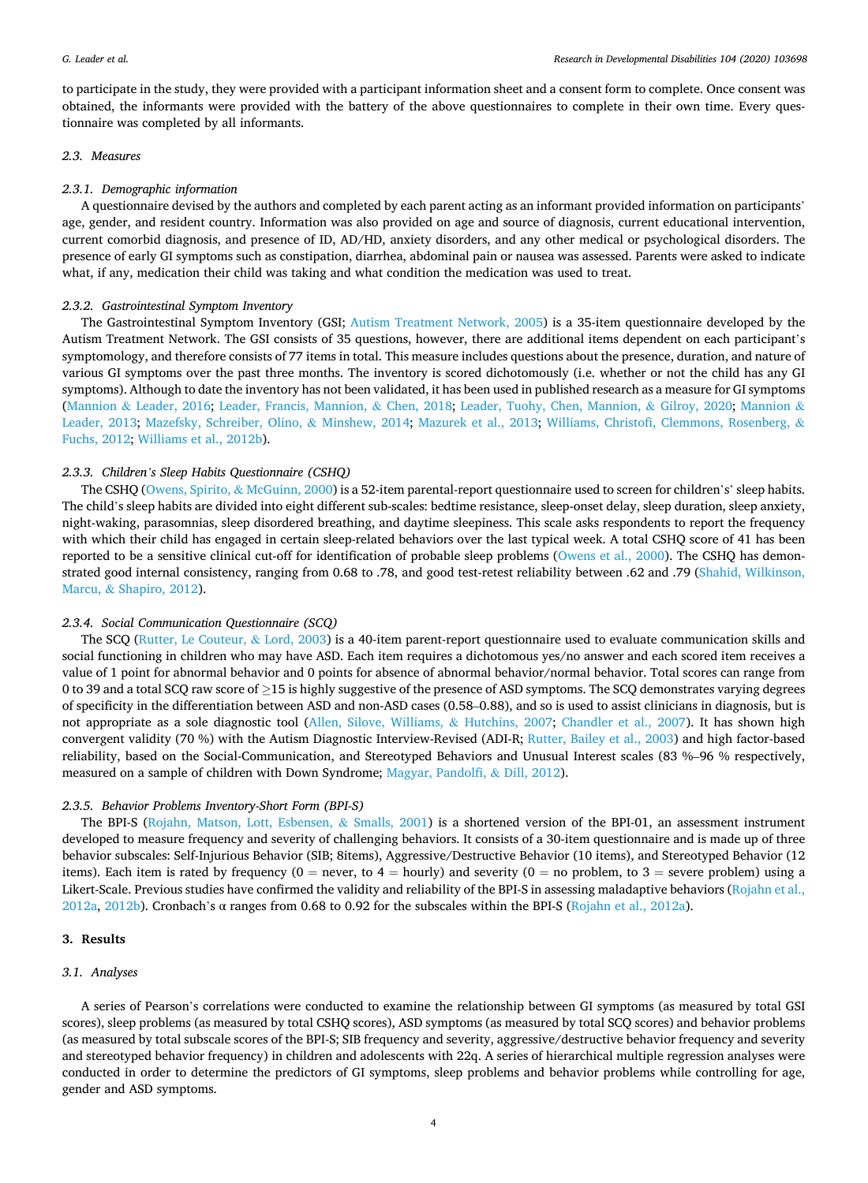to participate in the study, they were provided with a participant information sheet and a consent form to complete. Once consent was obtained, the informants were provided with the battery of the above questionnaires to complete in their own time. Every questionnaire was completed by all informants.

#### *2.3. Measures*

#### *2.3.1. Demographic information*

A questionnaire devised by the authors and completed by each parent acting as an informant provided information on participants' age, gender, and resident country. Information was also provided on age and source of diagnosis, current educational intervention, current comorbid diagnosis, and presence of ID, AD/HD, anxiety disorders, and any other medical or psychological disorders. The presence of early GI symptoms such as constipation, diarrhea, abdominal pain or nausea was assessed. Parents were asked to indicate what, if any, medication their child was taking and what condition the medication was used to treat.

#### *2.3.2. Gastrointestinal Symptom Inventory*

The Gastrointestinal Symptom Inventory (GSI; [Autism Treatment Network, 2005\)](#page-9-0) is a 35-item questionnaire developed by the Autism Treatment Network. The GSI consists of 35 questions, however, there are additional items dependent on each participant's symptomology, and therefore consists of 77 items in total. This measure includes questions about the presence, duration, and nature of various GI symptoms over the past three months. The inventory is scored dichotomously (i.e. whether or not the child has any GI symptoms). Although to date the inventory has not been validated, it has been used in published research as a measure for GI symptoms (Mannion & [Leader, 2016](#page-9-0); [Leader, Francis, Mannion,](#page-9-0) & Chen, 2018; [Leader, Tuohy, Chen, Mannion,](#page-9-0) & Gilroy, 2020; [Mannion](#page-9-0) & [Leader, 2013;](#page-9-0) [Mazefsky, Schreiber, Olino,](#page-10-0) & Minshew, 2014; [Mazurek et al., 2013;](#page-10-0) [Williams, Christofi, Clemmons, Rosenberg,](#page-10-0) & [Fuchs, 2012;](#page-10-0) [Williams et al., 2012b\)](#page-10-0).

### *2.3.3. Children's Sleep Habits Questionnaire (CSHQ)*

The CSHQ ([Owens, Spirito,](#page-10-0) & McGuinn, 2000) is a 52-item parental-report questionnaire used to screen for children's' sleep habits. The child's sleep habits are divided into eight different sub-scales: bedtime resistance, sleep-onset delay, sleep duration, sleep anxiety, night-waking, parasomnias, sleep disordered breathing, and daytime sleepiness. This scale asks respondents to report the frequency with which their child has engaged in certain sleep-related behaviors over the last typical week. A total CSHQ score of 41 has been reported to be a sensitive clinical cut-off for identification of probable sleep problems [\(Owens et al., 2000](#page-10-0)). The CSHQ has demon-strated good internal consistency, ranging from 0.68 to .78, and good test-retest reliability between .62 and .79 ([Shahid, Wilkinson,](#page-10-0) Marcu, & [Shapiro, 2012](#page-10-0)).

## *2.3.4. Social Communication Questionnaire (SCQ)*

The SCQ [\(Rutter, Le Couteur,](#page-10-0) & Lord, 2003) is a 40-item parent-report questionnaire used to evaluate communication skills and social functioning in children who may have ASD. Each item requires a dichotomous yes/no answer and each scored item receives a value of 1 point for abnormal behavior and 0 points for absence of abnormal behavior/normal behavior. Total scores can range from 0 to 39 and a total SCQ raw score of ≥15 is highly suggestive of the presence of ASD symptoms. The SCQ demonstrates varying degrees of specificity in the differentiation between ASD and non-ASD cases (0.58–0.88), and so is used to assist clinicians in diagnosis, but is not appropriate as a sole diagnostic tool ([Allen, Silove, Williams,](#page-9-0) & Hutchins, 2007; [Chandler et al., 2007](#page-9-0)). It has shown high convergent validity (70 %) with the Autism Diagnostic Interview-Revised (ADI-R; [Rutter, Bailey et al., 2003\)](#page-10-0) and high factor-based reliability, based on the Social-Communication, and Stereotyped Behaviors and Unusual Interest scales (83 %–96 % respectively, measured on a sample of children with Down Syndrome; [Magyar, Pandolfi,](#page-9-0) & Dill, 2012).

#### *2.3.5. Behavior Problems Inventory-Short Form (BPI-S)*

The BPI-S ([Rojahn, Matson, Lott, Esbensen,](#page-10-0) & Smalls, 2001) is a shortened version of the BPI-01, an assessment instrument developed to measure frequency and severity of challenging behaviors. It consists of a 30-item questionnaire and is made up of three behavior subscales: Self-Injurious Behavior (SIB; 8items), Aggressive/Destructive Behavior (10 items), and Stereotyped Behavior (12 items). Each item is rated by frequency ( $0 =$  never, to  $4 =$  hourly) and severity ( $0 =$  no problem, to  $3 =$  severe problem) using a Likert-Scale. Previous studies have confirmed the validity and reliability of the BPI-S in assessing maladaptive behaviors [\(Rojahn et al.,](#page-10-0) [2012a](#page-10-0), [2012b](#page-10-0)). Cronbach's α ranges from 0.68 to 0.92 for the subscales within the BPI-S [\(Rojahn et al., 2012a](#page-10-0)).

## **3. Results**

#### *3.1. Analyses*

A series of Pearson's correlations were conducted to examine the relationship between GI symptoms (as measured by total GSI scores), sleep problems (as measured by total CSHQ scores), ASD symptoms (as measured by total SCQ scores) and behavior problems (as measured by total subscale scores of the BPI-S; SIB frequency and severity, aggressive/destructive behavior frequency and severity and stereotyped behavior frequency) in children and adolescents with 22q. A series of hierarchical multiple regression analyses were conducted in order to determine the predictors of GI symptoms, sleep problems and behavior problems while controlling for age, gender and ASD symptoms.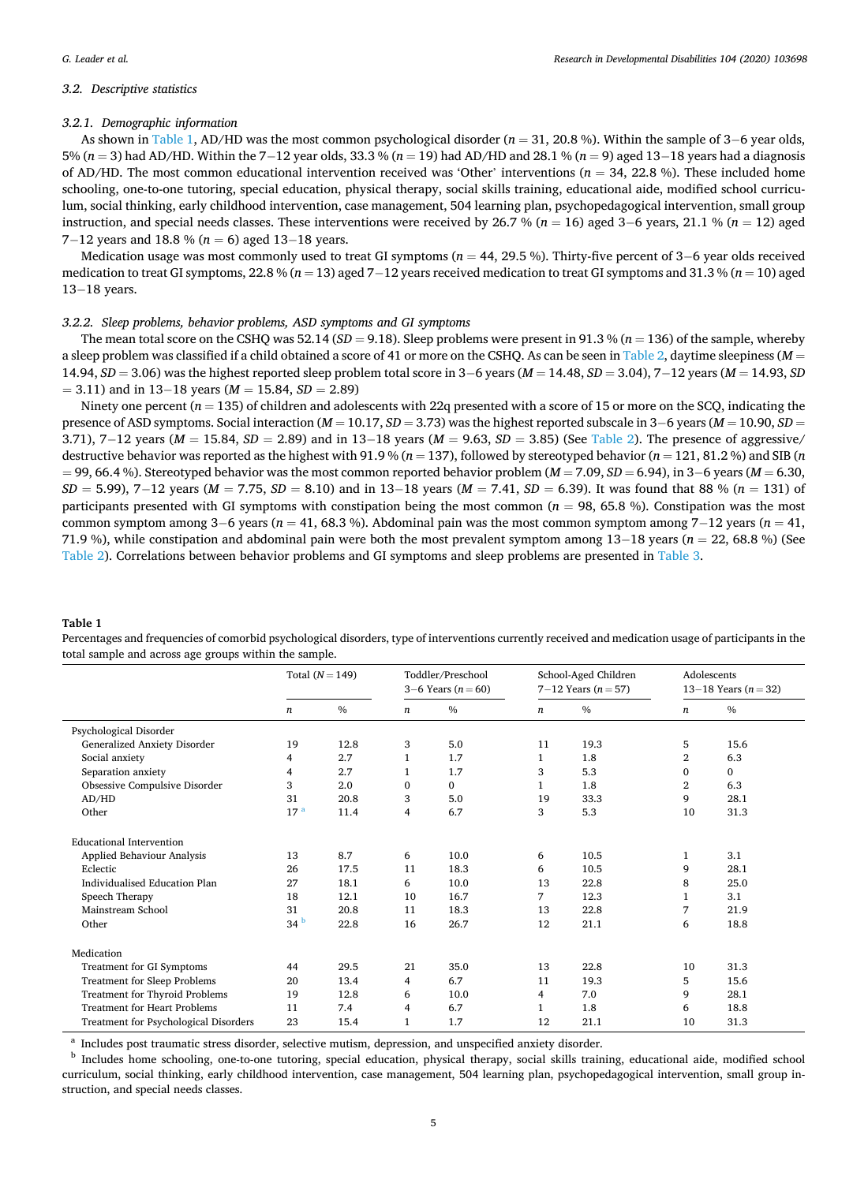#### *3.2. Descriptive statistics*

#### *3.2.1. Demographic information*

As shown in Table 1, AD/HD was the most common psychological disorder (*n* = 31, 20.8 %). Within the sample of 3− 6 year olds, 5% (*n* = 3) had AD/HD. Within the 7− 12 year olds, 33.3 % (*n* = 19) had AD/HD and 28.1 % (*n* = 9) aged 13− 18 years had a diagnosis of AD/HD. The most common educational intervention received was 'Other' interventions ( $n = 34, 22.8$ %). These included home schooling, one-to-one tutoring, special education, physical therapy, social skills training, educational aide, modified school curriculum, social thinking, early childhood intervention, case management, 504 learning plan, psychopedagogical intervention, small group instruction, and special needs classes. These interventions were received by 26.7 % (*n* = 16) aged 3− 6 years, 21.1 % (*n* = 12) aged 7−12 years and 18.8 % (*n* = 6) aged 13−18 years.

Medication usage was most commonly used to treat GI symptoms (*n* = 44, 29.5 %). Thirty-five percent of 3–6 year olds received medication to treat GI symptoms, 22.8 % (*n* = 13) aged 7− 12 years received medication to treat GI symptoms and 31.3 % (*n* = 10) aged 13-18 years.

## *3.2.2. Sleep problems, behavior problems, ASD symptoms and GI symptoms*

The mean total score on the CSHQ was 52.14 ( $SD = 9.18$ ). Sleep problems were present in 91.3 % ( $n = 136$ ) of the sample, whereby a sleep problem was classified if a child obtained a score of 41 or more on the CSHQ. As can be seen in [Table 2,](#page-5-0) daytime sleepiness (*M* = 14.94, *SD* = 3.06) was the highest reported sleep problem total score in 3− 6 years (*M* = 14.48, *SD* = 3.04), 7− 12 years (*M* = 14.93, *SD*  = 3.11) and in 13− 18 years (*M* = 15.84, *SD* = 2.89)

Ninety one percent  $(n = 135)$  of children and adolescents with 22q presented with a score of 15 or more on the SCQ, indicating the presence of ASD symptoms. Social interaction (*M* = 10.17, *SD* = 3.73) was the highest reported subscale in 3− 6 years (*M* = 10.90, *SD* = 3.71), 7− 12 years (*M* = 15.84, *SD* = 2.89) and in 13− 18 years (*M* = 9.63, *SD* = 3.85) (See [Table 2\)](#page-5-0). The presence of aggressive/ destructive behavior was reported as the highest with 91.9 % (*n* = 137), followed by stereotyped behavior (*n* = 121, 81.2 %) and SIB (*n*  = 99, 66.4 %). Stereotyped behavior was the most common reported behavior problem (*M* = 7.09, *SD* = 6.94), in 3− 6 years (*M* = 6.30, *SD* = 5.99), 7–12 years (*M* = 7.75, *SD* = 8.10) and in 13–18 years (*M* = 7.41, *SD* = 6.39). It was found that 88 % (*n* = 131) of participants presented with GI symptoms with constipation being the most common (*n* = 98, 65.8 %). Constipation was the most common symptom among 3− 6 years (*n* = 41, 68.3 %). Abdominal pain was the most common symptom among 7− 12 years (*n* = 41, 71.9 %), while constipation and abdominal pain were both the most prevalent symptom among 13− 18 years (*n* = 22, 68.8 %) (See [Table 2](#page-5-0)). Correlations between behavior problems and GI symptoms and sleep problems are presented in [Table 3](#page-5-0).

#### **Table 1**

Percentages and frequencies of comorbid psychological disorders, type of interventions currently received and medication usage of participants in the total sample and across age groups within the sample.

|                                       | Total $(N = 149)$ |      |                  | Toddler/Preschool<br>3–6 Years $(n = 60)$ | School-Aged Children<br>7–12 Years ( $n = 57$ ) |               | Adolescents<br>13–18 Years $(n = 32)$ |          |
|---------------------------------------|-------------------|------|------------------|-------------------------------------------|-------------------------------------------------|---------------|---------------------------------------|----------|
|                                       | $\boldsymbol{n}$  | $\%$ | $\boldsymbol{n}$ | $\frac{0}{0}$                             | $\boldsymbol{n}$                                | $\frac{0}{0}$ | $\boldsymbol{n}$                      | $\%$     |
| Psychological Disorder                |                   |      |                  |                                           |                                                 |               |                                       |          |
| Generalized Anxiety Disorder          | 19                | 12.8 | 3                | 5.0                                       | 11                                              | 19.3          | 5                                     | 15.6     |
| Social anxiety                        | 4                 | 2.7  | $\mathbf{1}$     | 1.7                                       | 1                                               | 1.8           | $\overline{2}$                        | 6.3      |
| Separation anxiety                    | 4                 | 2.7  | 1                | 1.7                                       | 3                                               | 5.3           | $\mathbf{0}$                          | $\Omega$ |
| Obsessive Compulsive Disorder         | 3                 | 2.0  | $\mathbf{0}$     | $\Omega$                                  | 1                                               | 1.8           | $\overline{2}$                        | 6.3      |
| AD/HD                                 | 31                | 20.8 | 3                | 5.0                                       | 19                                              | 33.3          | 9                                     | 28.1     |
| Other                                 | 17 <sup>a</sup>   | 11.4 | $\overline{4}$   | 6.7                                       | 3                                               | 5.3           | 10                                    | 31.3     |
| <b>Educational Intervention</b>       |                   |      |                  |                                           |                                                 |               |                                       |          |
| Applied Behaviour Analysis            | 13                | 8.7  | 6                | 10.0                                      | 6                                               | 10.5          | 1                                     | 3.1      |
| Eclectic                              | 26                | 17.5 | 11               | 18.3                                      | 6                                               | 10.5          | 9                                     | 28.1     |
| Individualised Education Plan         | 27                | 18.1 | 6                | 10.0                                      | 13                                              | 22.8          | 8                                     | 25.0     |
| Speech Therapy                        | 18                | 12.1 | 10               | 16.7                                      | 7                                               | 12.3          | 1                                     | 3.1      |
| Mainstream School                     | 31                | 20.8 | 11               | 18.3                                      | 13                                              | 22.8          | 7                                     | 21.9     |
| Other                                 | 34 <sup>b</sup>   | 22.8 | 16               | 26.7                                      | 12                                              | 21.1          | 6                                     | 18.8     |
| Medication                            |                   |      |                  |                                           |                                                 |               |                                       |          |
| Treatment for GI Symptoms             | 44                | 29.5 | 21               | 35.0                                      | 13                                              | 22.8          | 10                                    | 31.3     |
| Treatment for Sleep Problems          | 20                | 13.4 | 4                | 6.7                                       | 11                                              | 19.3          | 5                                     | 15.6     |
| Treatment for Thyroid Problems        | 19                | 12.8 | 6                | 10.0                                      | 4                                               | 7.0           | 9                                     | 28.1     |
| <b>Treatment for Heart Problems</b>   | 11                | 7.4  | 4                | 6.7                                       | $\mathbf{1}$                                    | 1.8           | 6                                     | 18.8     |
| Treatment for Psychological Disorders | 23                | 15.4 | $\mathbf{1}$     | 1.7                                       | 12                                              | 21.1          | 10                                    | 31.3     |

 $^{\rm a}$  Includes post traumatic stress disorder, selective mutism, depression, and unspecified anxiety disorder.  $^{\rm b}$  Includes home schooling, one-to-one tutoring, special education, physical therapy, social skills tra curriculum, social thinking, early childhood intervention, case management, 504 learning plan, psychopedagogical intervention, small group instruction, and special needs classes.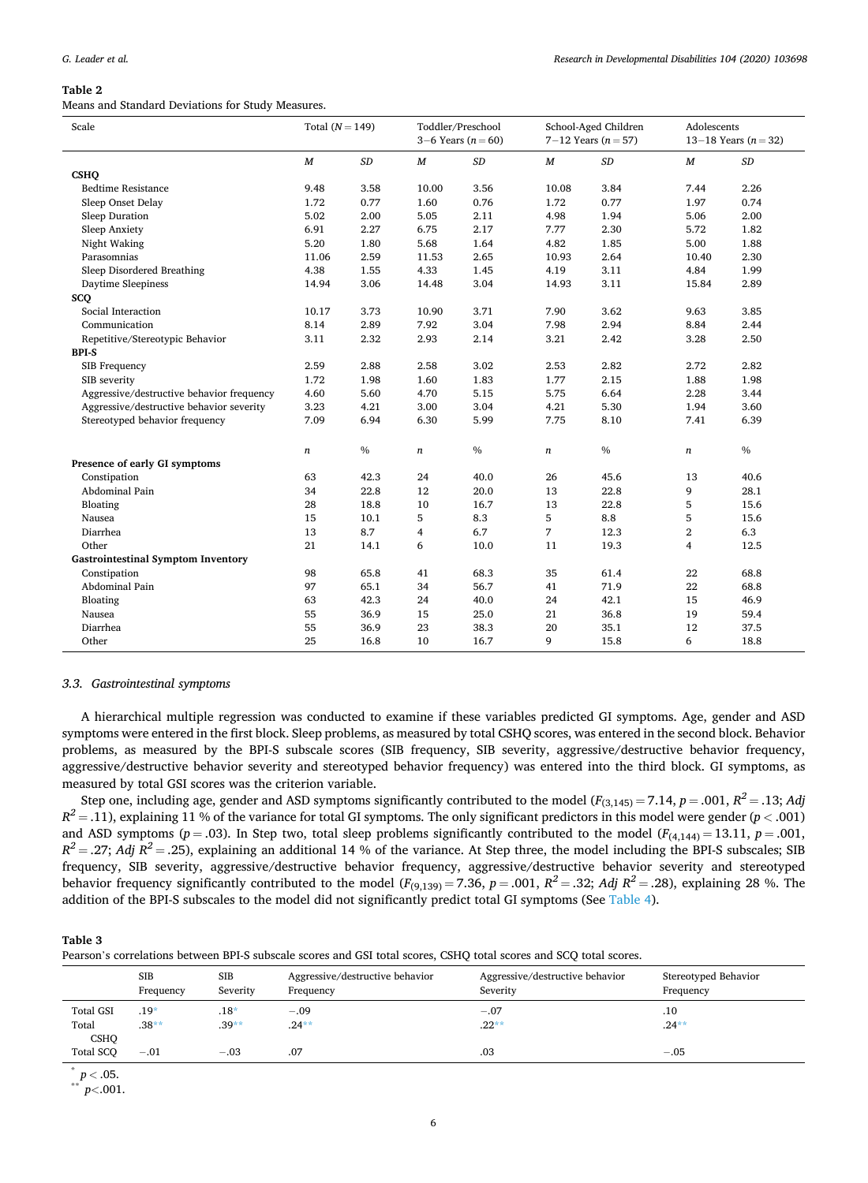#### <span id="page-5-0"></span>**Table 2**

Means and Standard Deviations for Study Measures.

| Scale                                     | Total $(N = 149)$ |           |                  | Toddler/Preschool<br>3–6 Years $(n = 60)$ |                  | School-Aged Children<br>7–12 Years $(n = 57)$ |                  | Adolescents<br>13–18 Years $(n = 32)$ |  |
|-------------------------------------------|-------------------|-----------|------------------|-------------------------------------------|------------------|-----------------------------------------------|------------------|---------------------------------------|--|
|                                           | $\boldsymbol{M}$  | $\cal SD$ | $\boldsymbol{M}$ | $\cal SD$                                 | $\boldsymbol{M}$ | $\cal SD$                                     | $\boldsymbol{M}$ | $\cal SD$                             |  |
| <b>CSHQ</b>                               |                   |           |                  |                                           |                  |                                               |                  |                                       |  |
| <b>Bedtime Resistance</b>                 | 9.48              | 3.58      | 10.00            | 3.56                                      | 10.08            | 3.84                                          | 7.44             | 2.26                                  |  |
| Sleep Onset Delay                         | 1.72              | 0.77      | 1.60             | 0.76                                      | 1.72             | 0.77                                          | 1.97             | 0.74                                  |  |
| Sleep Duration                            | 5.02              | 2.00      | 5.05             | 2.11                                      | 4.98             | 1.94                                          | 5.06             | 2.00                                  |  |
| Sleep Anxiety                             | 6.91              | 2.27      | 6.75             | 2.17                                      | 7.77             | 2.30                                          | 5.72             | 1.82                                  |  |
| Night Waking                              | 5.20              | 1.80      | 5.68             | 1.64                                      | 4.82             | 1.85                                          | 5.00             | 1.88                                  |  |
| Parasomnias                               | 11.06             | 2.59      | 11.53            | 2.65                                      | 10.93            | 2.64                                          | 10.40            | 2.30                                  |  |
| Sleep Disordered Breathing                | 4.38              | 1.55      | 4.33             | 1.45                                      | 4.19             | 3.11                                          | 4.84             | 1.99                                  |  |
| Daytime Sleepiness                        | 14.94             | 3.06      | 14.48            | 3.04                                      | 14.93            | 3.11                                          | 15.84            | 2.89                                  |  |
| sco                                       |                   |           |                  |                                           |                  |                                               |                  |                                       |  |
| Social Interaction                        | 10.17             | 3.73      | 10.90            | 3.71                                      | 7.90             | 3.62                                          | 9.63             | 3.85                                  |  |
| Communication                             | 8.14              | 2.89      | 7.92             | 3.04                                      | 7.98             | 2.94                                          | 8.84             | 2.44                                  |  |
| Repetitive/Stereotypic Behavior           | 3.11              | 2.32      | 2.93             | 2.14                                      | 3.21             | 2.42                                          | 3.28             | 2.50                                  |  |
| <b>BPI-S</b>                              |                   |           |                  |                                           |                  |                                               |                  |                                       |  |
| <b>SIB Frequency</b>                      | 2.59              | 2.88      | 2.58             | 3.02                                      | 2.53             | 2.82                                          | 2.72             | 2.82                                  |  |
| SIB severity                              | 1.72              | 1.98      | 1.60             | 1.83                                      | 1.77             | 2.15                                          | 1.88             | 1.98                                  |  |
| Aggressive/destructive behavior frequency | 4.60              | 5.60      | 4.70             | 5.15                                      | 5.75             | 6.64                                          | 2.28             | 3.44                                  |  |
| Aggressive/destructive behavior severity  | 3.23              | 4.21      | 3.00             | 3.04                                      | 4.21             | 5.30                                          | 1.94             | 3.60                                  |  |
| Stereotyped behavior frequency            | 7.09              | 6.94      | 6.30             | 5.99                                      | 7.75             | 8.10                                          | 7.41             | 6.39                                  |  |
|                                           | $\boldsymbol{n}$  | $\%$      | $\boldsymbol{n}$ | $\%$                                      | n                | $\%$                                          | $\it n$          | $\%$                                  |  |
| Presence of early GI symptoms             |                   |           |                  |                                           |                  |                                               |                  |                                       |  |
| Constipation                              | 63                | 42.3      | 24               | 40.0                                      | 26               | 45.6                                          | 13               | 40.6                                  |  |
| Abdominal Pain                            | 34                | 22.8      | 12               | 20.0                                      | 13               | 22.8                                          | 9                | 28.1                                  |  |
| Bloating                                  | 28                | 18.8      | 10               | 16.7                                      | 13               | 22.8                                          | 5                | 15.6                                  |  |
| Nausea                                    | 15                | 10.1      | 5                | 8.3                                       | 5                | 8.8                                           | 5                | 15.6                                  |  |
| Diarrhea                                  | 13                | 8.7       | 4                | 6.7                                       | 7                | 12.3                                          | $\,2$            | 6.3                                   |  |
| Other                                     | 21                | 14.1      | 6                | 10.0                                      | 11               | 19.3                                          | $\overline{4}$   | 12.5                                  |  |
| <b>Gastrointestinal Symptom Inventory</b> |                   |           |                  |                                           |                  |                                               |                  |                                       |  |
| Constipation                              | 98                | 65.8      | 41               | 68.3                                      | 35               | 61.4                                          | 22               | 68.8                                  |  |
| Abdominal Pain                            | 97                | 65.1      | 34               | 56.7                                      | 41               | 71.9                                          | 22               | 68.8                                  |  |
| Bloating                                  | 63                | 42.3      | 24               | 40.0                                      | 24               | 42.1                                          | 15               | 46.9                                  |  |
| Nausea                                    | 55                | 36.9      | 15               | 25.0                                      | 21               | 36.8                                          | 19               | 59.4                                  |  |
| Diarrhea                                  | 55                | 36.9      | 23               | 38.3                                      | 20               | 35.1                                          | 12               | 37.5                                  |  |
| Other                                     | 25                | 16.8      | 10               | 16.7                                      | 9                | 15.8                                          | 6                | 18.8                                  |  |

#### *3.3. Gastrointestinal symptoms*

A hierarchical multiple regression was conducted to examine if these variables predicted GI symptoms. Age, gender and ASD symptoms were entered in the first block. Sleep problems, as measured by total CSHQ scores, was entered in the second block. Behavior problems, as measured by the BPI-S subscale scores (SIB frequency, SIB severity, aggressive/destructive behavior frequency, aggressive/destructive behavior severity and stereotyped behavior frequency) was entered into the third block. GI symptoms, as measured by total GSI scores was the criterion variable.

Step one, including age, gender and ASD symptoms significantly contributed to the model  $(F_{(3,145)} = 7.14, p = .001, R^2 = .13; Adj$ *R2* = .11), explaining 11 % of the variance for total GI symptoms. The only significant predictors in this model were gender (*p <* .001) and ASD symptoms ( $p = .03$ ). In Step two, total sleep problems significantly contributed to the model ( $F_{(4,144)} = 13.11$ ,  $p = .001$ ,  $R^2 = .27$ ; *Adj*  $R^2 = .25$ ), explaining an additional 14 % of the variance. At Step three, the model including the BPI-S subscales; SIB frequency, SIB severity, aggressive/destructive behavior frequency, aggressive/destructive behavior severity and stereotyped behavior frequency significantly contributed to the model  $(F_{(9,139)} = 7.36, p = .001, R^2 = .32; Adj R^2 = .28)$ , explaining 28 %. The addition of the BPI-S subscales to the model did not significantly predict total GI symptoms (See [Table 4\)](#page-6-0).

| Table |  |
|-------|--|
|-------|--|

Pearson's correlations between BPI-S subscale scores and GSI total scores, CSHQ total scores and SCQ total scores.

|                      | SIB<br>Frequency | SIB<br>Severity | Aggressive/destructive behavior<br>Frequency | Aggressive/destructive behavior<br>Severity | Stereotyped Behavior<br>Frequency |
|----------------------|------------------|-----------------|----------------------------------------------|---------------------------------------------|-----------------------------------|
| <b>Total GSI</b>     | $.19*$           | $.18*$          | $-.09$                                       | $-.07$                                      | $.10\,$                           |
| Total<br><b>CSHO</b> | $.38**$          | $.39**$         | $.24***$                                     | $.22**$                                     | $.24***$                          |
| Total SCO            | $-.01$           | $-.03$          | .07                                          | .03                                         | $-.05$                            |
|                      |                  |                 |                                              |                                             |                                   |

 $p < .05.$ <br>\*  $p < .001.$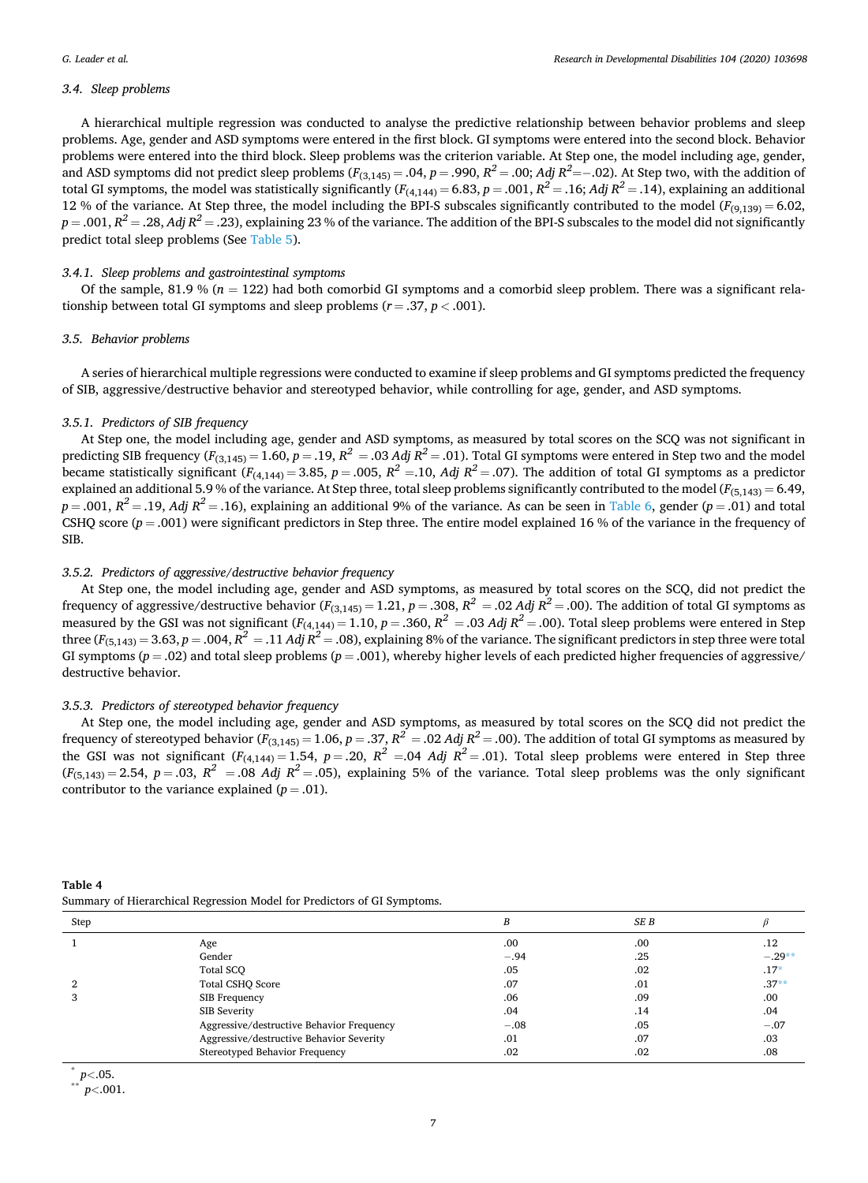### <span id="page-6-0"></span>*3.4. Sleep problems*

A hierarchical multiple regression was conducted to analyse the predictive relationship between behavior problems and sleep problems. Age, gender and ASD symptoms were entered in the first block. GI symptoms were entered into the second block. Behavior problems were entered into the third block. Sleep problems was the criterion variable. At Step one, the model including age, gender, and ASD symptoms did not predict sleep problems ( $F_{(3,145)} = .04$ ,  $p = .990$ ,  $R^2 = .00$ ; Adj  $R^2 = -.02$ ). At Step two, with the addition of total GI symptoms, the model was statistically significantly  $(F_{(4,144)} = 6.83, p = .001, R^2 = .16; Adj R^2 = .14)$ , explaining an additional 12 % of the variance. At Step three, the model including the BPI-S subscales significantly contributed to the model  $(F_{(9,139)} = 6.02$ ,  $p = .001$ ,  $R^2 = .28$ , *Adj*  $R^2 = .23$ ), explaining 23 % of the variance. The addition of the BPI-S subscales to the model did not significantly predict total sleep problems (See [Table 5\)](#page-7-0).

## *3.4.1. Sleep problems and gastrointestinal symptoms*

Of the sample, 81.9 % ( $n = 122$ ) had both comorbid GI symptoms and a comorbid sleep problem. There was a significant relationship between total GI symptoms and sleep problems  $(r = .37, p < .001)$ .

## *3.5. Behavior problems*

A series of hierarchical multiple regressions were conducted to examine if sleep problems and GI symptoms predicted the frequency of SIB, aggressive/destructive behavior and stereotyped behavior, while controlling for age, gender, and ASD symptoms.

## *3.5.1. Predictors of SIB frequency*

At Step one, the model including age, gender and ASD symptoms, as measured by total scores on the SCQ was not significant in predicting SIB frequency  $(F_{(3,145)} = 1.60, p = .19, R^2 = .03$  *Adj*  $R^2 = .01$ ). Total GI symptoms were entered in Step two and the model became statistically significant  $(F_{(4,144)} = 3.85, p = .005, R^2 = .10, Adj R^2 = .07)$ . The addition of total GI symptoms as a predictor explained an additional 5.9 % of the variance. At Step three, total sleep problems significantly contributed to the model ( $F_{(5,143)} = 6.49$ ,  $p = .001$ ,  $R^2 = .19$ , *Adj*  $R^2 = .16$ ), explaining an additional 9% of the variance. As can be seen in [Table 6](#page-7-0), gender ( $p = .01$ ) and total CSHQ score (*p* = .001) were significant predictors in Step three. The entire model explained 16 % of the variance in the frequency of SIB.

## *3.5.2. Predictors of aggressive/destructive behavior frequency*

At Step one, the model including age, gender and ASD symptoms, as measured by total scores on the SCQ, did not predict the frequency of aggressive/destructive behavior  $(F_{(3,145)} = 1.21, p = .308, R^2 = .02$  *Adj*  $R^2 = .00$ ). The addition of total GI symptoms as measured by the GSI was not significant  $(F_{(4,144)} = 1.10, p = .360, R^2 = .03$  *Adj*  $R^2 = .00$ ). Total sleep problems were entered in Step three  $(F_{(5,143)} = 3.63, p = .004, R^2 = .11$  *Adj*  $R^2 = .08$ ), explaining 8% of the variance. The significant predictors in step three were total GI symptoms  $(p = .02)$  and total sleep problems  $(p = .001)$ , whereby higher levels of each predicted higher frequencies of aggressive/ destructive behavior.

## *3.5.3. Predictors of stereotyped behavior frequency*

At Step one, the model including age, gender and ASD symptoms, as measured by total scores on the SCQ did not predict the frequency of stereotyped behavior ( $F_{(3,145)} = 1.06$ ,  $p = .37$ ,  $R^2 = .02$  *Adj*  $R^2 = .00$ ). The addition of total GI symptoms as measured by the GSI was not significant  $(F_{(4,144)} = 1.54, p = .20, R^2 = .04$  *Adj*  $R^2 = .01$ ). Total sleep problems were entered in Step three  $(F_{(5,143)} = 2.54, p = .03, R^2 = .08$  *Adj*  $R^2 = .05$ , explaining 5% of the variance. Total sleep problems was the only significant contributor to the variance explained  $(p=.01)$ .

**Table 4** 

|  |  | Summary of Hierarchical Regression Model for Predictors of GI Symptoms. |
|--|--|-------------------------------------------------------------------------|
|--|--|-------------------------------------------------------------------------|

| Step |                                           | B       | SE B    |          |
|------|-------------------------------------------|---------|---------|----------|
|      | Age                                       | .00     | .00     | .12      |
|      | Gender                                    | $-.94$  | .25     | $-.29**$ |
|      | Total SCO                                 | .05     | .02     | $.17*$   |
|      | Total CSHQ Score                          | .07     | .01     | $.37**$  |
|      | SIB Frequency                             | .06     | .09     | .00      |
|      | SIB Severity                              | .04     | .14     | .04      |
|      | Aggressive/destructive Behavior Frequency | $-.08$  | .05     | $-.07$   |
|      | Aggressive/destructive Behavior Severity  | .01     | .07     | .03      |
|      | Stereotyped Behavior Frequency            | $.02\,$ | $.02\,$ | .08      |

\* *<sup>p</sup><sup>&</sup>lt;*.05. \*\* *<sup>p</sup><*.001.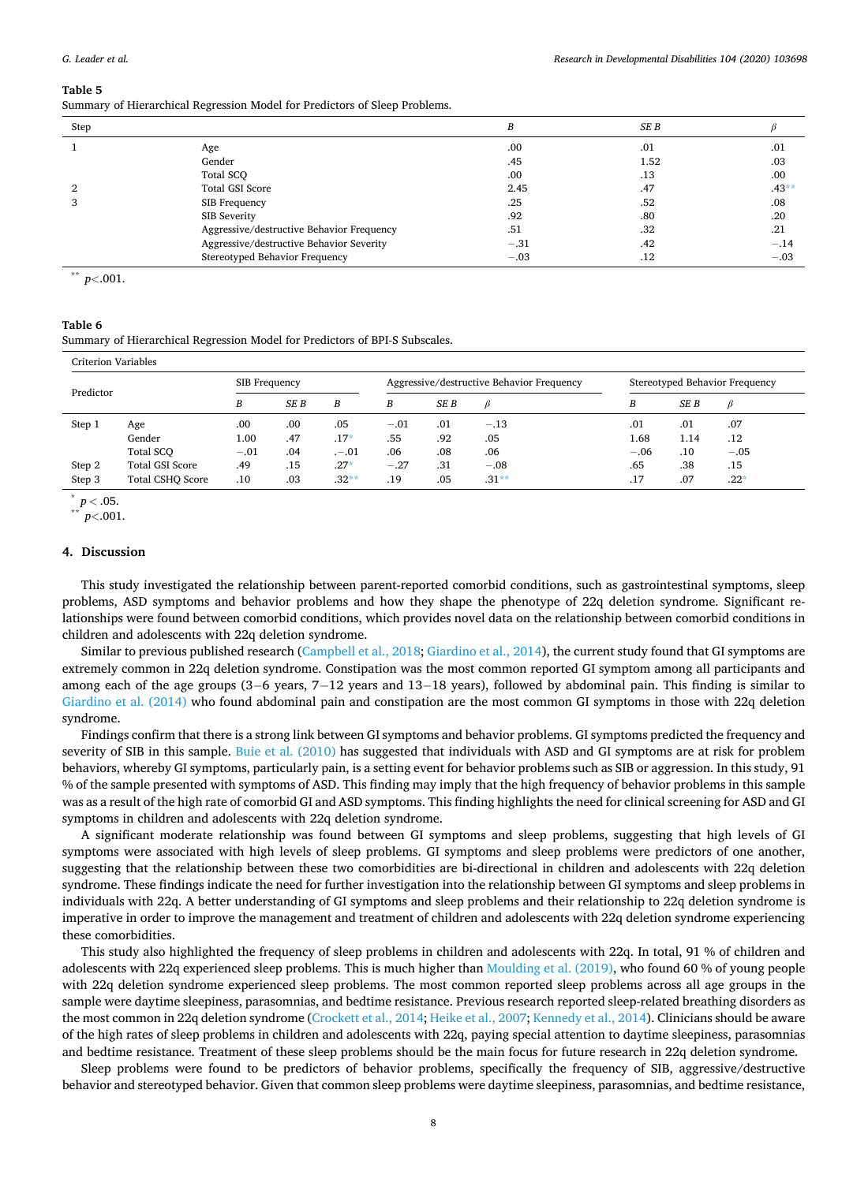#### <span id="page-7-0"></span>**Table 5**

Summary of Hierarchical Regression Model for Predictors of Sleep Problems.

| Step |                                           |        | SE B |         |
|------|-------------------------------------------|--------|------|---------|
|      | Age                                       | .00    | .01  | .01     |
|      | Gender                                    | .45    | 1.52 | .03     |
|      | Total SCO                                 | .00    | .13  | .00     |
|      | <b>Total GSI Score</b>                    | 2.45   | .47  | $.43**$ |
|      | SIB Frequency                             | .25    | .52  | .08     |
|      | SIB Severity                              | .92    | .80  | .20     |
|      | Aggressive/destructive Behavior Frequency | .51    | .32  | .21     |
|      | Aggressive/destructive Behavior Severity  | $-.31$ | .42  | $-.14$  |
|      | Stereotyped Behavior Frequency            | $-.03$ | .12  | $-.03$  |

\*\* *p<*.001.

#### **Table 6**

Summary of Hierarchical Regression Model for Predictors of BPI-S Subscales.

| Criterion Variables |                         |                                                                   |      |          |        |                                |         |        |      |        |
|---------------------|-------------------------|-------------------------------------------------------------------|------|----------|--------|--------------------------------|---------|--------|------|--------|
| Predictor           |                         | Aggressive/destructive Behavior Frequency<br><b>SIB</b> Frequency |      |          |        | Stereotyped Behavior Frequency |         |        |      |        |
|                     |                         | B                                                                 | SE B | B        | B      | SE B                           | ß       | B      | SE B | ß      |
| Step 1              | Age                     | .00                                                               | .00  | .05      | $-.01$ | .01                            | $-.13$  | .01    | .01  | .07    |
|                     | Gender                  | 1.00                                                              | .47  | $.17*$   | .55    | .92                            | .05     | 1.68   | 1.14 | .12    |
|                     | Total SCO               | $-.01$                                                            | .04  | $. -.01$ | .06    | .08                            | .06     | $-.06$ | .10  | $-.05$ |
| Step 2              | <b>Total GSI Score</b>  | .49                                                               | .15  | $.27*$   | $-.27$ | .31                            | $-.08$  | .65    | .38  | .15    |
| Step 3              | <b>Total CSHO Score</b> | .10                                                               | .03  | $.32***$ | .19    | .05                            | $.31**$ | .17    | .07  | $.22*$ |

 $\sum_{n=0}^{8} p < .05.$ <br> $p < .001.$ 

#### **4. Discussion**

This study investigated the relationship between parent-reported comorbid conditions, such as gastrointestinal symptoms, sleep problems, ASD symptoms and behavior problems and how they shape the phenotype of 22q deletion syndrome. Significant relationships were found between comorbid conditions, which provides novel data on the relationship between comorbid conditions in children and adolescents with 22q deletion syndrome.

Similar to previous published research ([Campbell et al., 2018; Giardino et al., 2014\)](#page-9-0), the current study found that GI symptoms are extremely common in 22q deletion syndrome. Constipation was the most common reported GI symptom among all participants and among each of the age groups (3–6 years, 7–12 years and 13–18 years), followed by abdominal pain. This finding is similar to [Giardino et al. \(2014\)](#page-9-0) who found abdominal pain and constipation are the most common GI symptoms in those with 22q deletion syndrome.

Findings confirm that there is a strong link between GI symptoms and behavior problems. GI symptoms predicted the frequency and severity of SIB in this sample. [Buie et al. \(2010\)](#page-9-0) has suggested that individuals with ASD and GI symptoms are at risk for problem behaviors, whereby GI symptoms, particularly pain, is a setting event for behavior problems such as SIB or aggression. In this study, 91 % of the sample presented with symptoms of ASD. This finding may imply that the high frequency of behavior problems in this sample was as a result of the high rate of comorbid GI and ASD symptoms. This finding highlights the need for clinical screening for ASD and GI symptoms in children and adolescents with 22q deletion syndrome.

A significant moderate relationship was found between GI symptoms and sleep problems, suggesting that high levels of GI symptoms were associated with high levels of sleep problems. GI symptoms and sleep problems were predictors of one another, suggesting that the relationship between these two comorbidities are bi-directional in children and adolescents with 22q deletion syndrome. These findings indicate the need for further investigation into the relationship between GI symptoms and sleep problems in individuals with 22q. A better understanding of GI symptoms and sleep problems and their relationship to 22q deletion syndrome is imperative in order to improve the management and treatment of children and adolescents with 22q deletion syndrome experiencing these comorbidities.

This study also highlighted the frequency of sleep problems in children and adolescents with 22q. In total, 91 % of children and adolescents with 22q experienced sleep problems. This is much higher than [Moulding et al. \(2019\),](#page-10-0) who found 60 % of young people with 22q deletion syndrome experienced sleep problems. The most common reported sleep problems across all age groups in the sample were daytime sleepiness, parasomnias, and bedtime resistance. Previous research reported sleep-related breathing disorders as the most common in 22q deletion syndrome ([Crockett et al., 2014; Heike et al., 2007; Kennedy et al., 2014\)](#page-9-0). Clinicians should be aware of the high rates of sleep problems in children and adolescents with 22q, paying special attention to daytime sleepiness, parasomnias and bedtime resistance. Treatment of these sleep problems should be the main focus for future research in 22q deletion syndrome.

Sleep problems were found to be predictors of behavior problems, specifically the frequency of SIB, aggressive/destructive behavior and stereotyped behavior. Given that common sleep problems were daytime sleepiness, parasomnias, and bedtime resistance,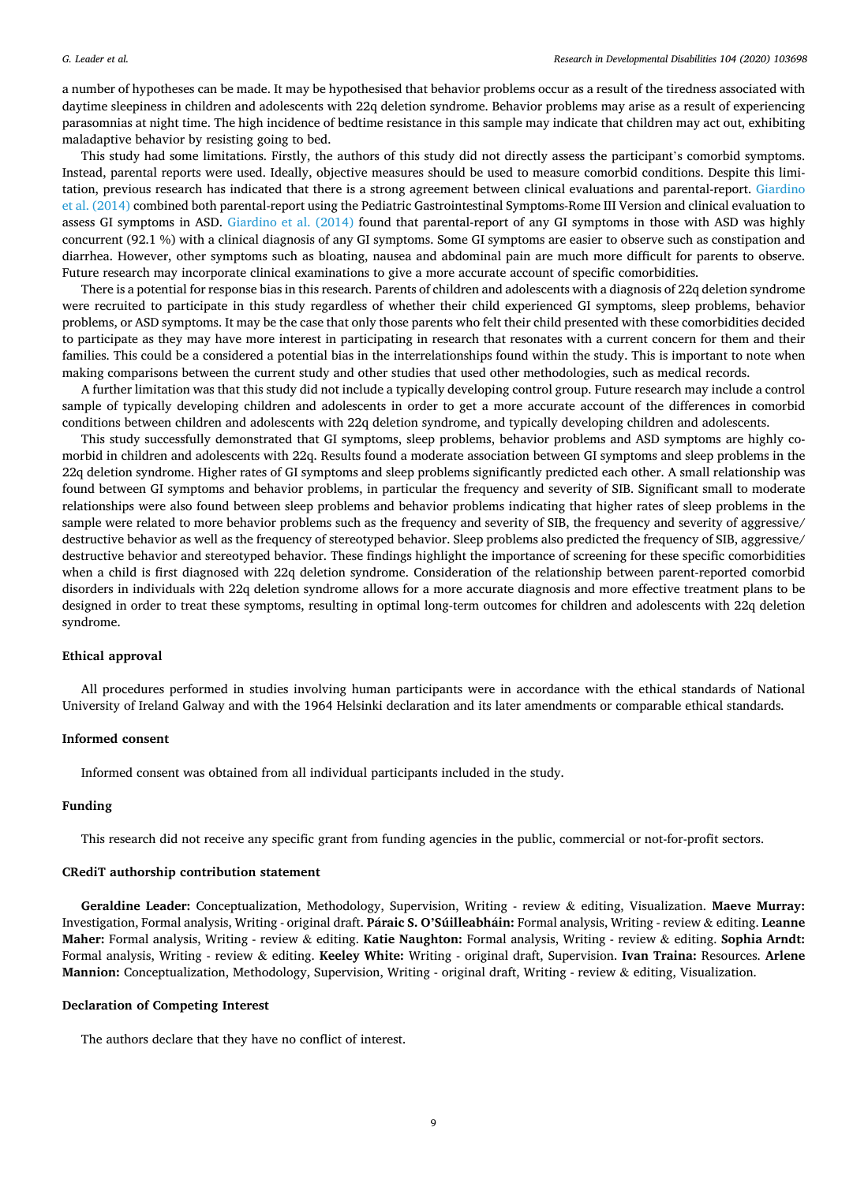a number of hypotheses can be made. It may be hypothesised that behavior problems occur as a result of the tiredness associated with daytime sleepiness in children and adolescents with 22q deletion syndrome. Behavior problems may arise as a result of experiencing parasomnias at night time. The high incidence of bedtime resistance in this sample may indicate that children may act out, exhibiting maladaptive behavior by resisting going to bed.

This study had some limitations. Firstly, the authors of this study did not directly assess the participant's comorbid symptoms. Instead, parental reports were used. Ideally, objective measures should be used to measure comorbid conditions. Despite this limi-tation, previous research has indicated that there is a strong agreement between clinical evaluations and parental-report. [Giardino](#page-9-0) [et al. \(2014\)](#page-9-0) combined both parental-report using the Pediatric Gastrointestinal Symptoms-Rome III Version and clinical evaluation to assess GI symptoms in ASD. [Giardino et al. \(2014\)](#page-9-0) found that parental-report of any GI symptoms in those with ASD was highly concurrent (92.1 %) with a clinical diagnosis of any GI symptoms. Some GI symptoms are easier to observe such as constipation and diarrhea. However, other symptoms such as bloating, nausea and abdominal pain are much more difficult for parents to observe. Future research may incorporate clinical examinations to give a more accurate account of specific comorbidities.

There is a potential for response bias in this research. Parents of children and adolescents with a diagnosis of 22q deletion syndrome were recruited to participate in this study regardless of whether their child experienced GI symptoms, sleep problems, behavior problems, or ASD symptoms. It may be the case that only those parents who felt their child presented with these comorbidities decided to participate as they may have more interest in participating in research that resonates with a current concern for them and their families. This could be a considered a potential bias in the interrelationships found within the study. This is important to note when making comparisons between the current study and other studies that used other methodologies, such as medical records.

A further limitation was that this study did not include a typically developing control group. Future research may include a control sample of typically developing children and adolescents in order to get a more accurate account of the differences in comorbid conditions between children and adolescents with 22q deletion syndrome, and typically developing children and adolescents.

This study successfully demonstrated that GI symptoms, sleep problems, behavior problems and ASD symptoms are highly comorbid in children and adolescents with 22q. Results found a moderate association between GI symptoms and sleep problems in the 22q deletion syndrome. Higher rates of GI symptoms and sleep problems significantly predicted each other. A small relationship was found between GI symptoms and behavior problems, in particular the frequency and severity of SIB. Significant small to moderate relationships were also found between sleep problems and behavior problems indicating that higher rates of sleep problems in the sample were related to more behavior problems such as the frequency and severity of SIB, the frequency and severity of aggressive/ destructive behavior as well as the frequency of stereotyped behavior. Sleep problems also predicted the frequency of SIB, aggressive/ destructive behavior and stereotyped behavior. These findings highlight the importance of screening for these specific comorbidities when a child is first diagnosed with 22q deletion syndrome. Consideration of the relationship between parent-reported comorbid disorders in individuals with 22q deletion syndrome allows for a more accurate diagnosis and more effective treatment plans to be designed in order to treat these symptoms, resulting in optimal long-term outcomes for children and adolescents with 22q deletion syndrome.

#### **Ethical approval**

All procedures performed in studies involving human participants were in accordance with the ethical standards of National University of Ireland Galway and with the 1964 Helsinki declaration and its later amendments or comparable ethical standards.

## **Informed consent**

Informed consent was obtained from all individual participants included in the study.

## **Funding**

This research did not receive any specific grant from funding agencies in the public, commercial or not-for-profit sectors.

### **CRediT authorship contribution statement**

**Geraldine Leader:** Conceptualization, Methodology, Supervision, Writing - review & editing, Visualization. **Maeve Murray:**  Investigation, Formal analysis, Writing - original draft. **Paraic** ´ **S. O'Súilleabhain:** ´ Formal analysis, Writing - review & editing. **Leanne Maher:** Formal analysis, Writing - review & editing. **Katie Naughton:** Formal analysis, Writing - review & editing. **Sophia Arndt:**  Formal analysis, Writing - review & editing. **Keeley White:** Writing - original draft, Supervision. **Ivan Traina:** Resources. **Arlene Mannion:** Conceptualization, Methodology, Supervision, Writing - original draft, Writing - review & editing, Visualization.

#### **Declaration of Competing Interest**

The authors declare that they have no conflict of interest.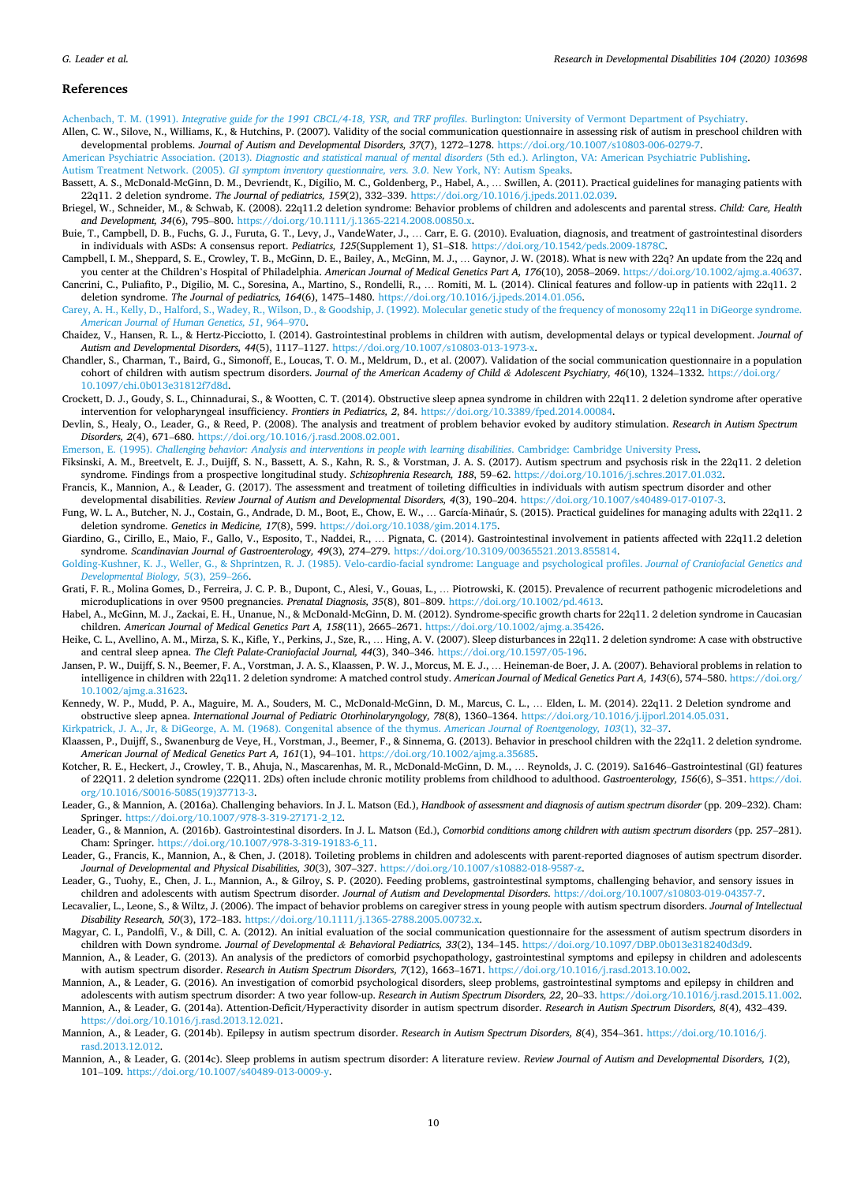#### <span id="page-9-0"></span>**References**

Achenbach, T. M. (1991). *[Integrative guide for the 1991 CBCL/4-18, YSR, and TRF profiles](http://refhub.elsevier.com/S0891-4222(20)30128-1/sbref0005)*. Burlington: University of Vermont Department of Psychiatry.

Allen, C. W., Silove, N., Williams, K., & Hutchins, P. (2007). Validity of the social communication questionnaire in assessing risk of autism in preschool children with developmental problems. *Journal of Autism and Developmental Disorders, 37*(7), 1272–1278. <https://doi.org/10.1007/s10803-006-0279-7>.

American Psychiatric Association. (2013). *Diagnostic and statistical manual of mental disorders* [\(5th ed.\). Arlington, VA: American Psychiatric Publishing](http://refhub.elsevier.com/S0891-4222(20)30128-1/sbref0015). Autism Treatment Network. (2005). *[GI symptom inventory questionnaire, vers. 3.0](http://refhub.elsevier.com/S0891-4222(20)30128-1/sbref0020)*. New York, NY: Autism Speaks.

- Bassett, A. S., McDonald-McGinn, D. M., Devriendt, K., Digilio, M. C., Goldenberg, P., Habel, A., … Swillen, A. (2011). Practical guidelines for managing patients with 22q11. 2 deletion syndrome. *The Journal of pediatrics, 159*(2), 332–339. [https://doi.org/10.1016/j.jpeds.2011.02.039.](https://doi.org/10.1016/j.jpeds.2011.02.039)
- Briegel, W., Schneider, M., & Schwab, K. (2008). 22q11.2 deletion syndrome: Behavior problems of children and adolescents and parental stress. *Child: Care, Health and Development, 34*(6), 795–800. [https://doi.org/10.1111/j.1365-2214.2008.00850.x.](https://doi.org/10.1111/j.1365-2214.2008.00850.x)
- Buie, T., Campbell, D. B., Fuchs, G. J., Furuta, G. T., Levy, J., VandeWater, J., … Carr, E. G. (2010). Evaluation, diagnosis, and treatment of gastrointestinal disorders in individuals with ASDs: A consensus report. *Pediatrics, 125*(Supplement 1), S1–S18. <https://doi.org/10.1542/peds.2009-1878C>.
- Campbell, I. M., Sheppard, S. E., Crowley, T. B., McGinn, D. E., Bailey, A., McGinn, M. J., … Gaynor, J. W. (2018). What is new with 22q? An update from the 22q and you center at the Children's Hospital of Philadelphia. *American Journal of Medical Genetics Part A, 176*(10), 2058–2069. [https://doi.org/10.1002/ajmg.a.40637.](https://doi.org/10.1002/ajmg.a.40637) Cancrini, C., Puliafito, P., Digilio, M. C., Soresina, A., Martino, S., Rondelli, R., … Romiti, M. L. (2014). Clinical features and follow-up in patients with 22q11. 2
- deletion syndrome. *The Journal of pediatrics, 164*(6), 1475–1480.<https://doi.org/10.1016/j.jpeds.2014.01.056>.
- [Carey, A. H., Kelly, D., Halford, S., Wadey, R., Wilson, D., & Goodship, J. \(1992\). Molecular genetic study of the frequency of monosomy 22q11 in DiGeorge syndrome.](http://refhub.elsevier.com/S0891-4222(20)30128-1/sbref0050) *[American Journal of Human Genetics, 51](http://refhub.elsevier.com/S0891-4222(20)30128-1/sbref0050)*, 964–970.
- Chaidez, V., Hansen, R. L., & Hertz-Picciotto, I. (2014). Gastrointestinal problems in children with autism, developmental delays or typical development. *Journal of Autism and Developmental Disorders, 44*(5), 1117–1127. <https://doi.org/10.1007/s10803-013-1973-x>.
- Chandler, S., Charman, T., Baird, G., Simonoff, E., Loucas, T. O. M., Meldrum, D., et al. (2007). Validation of the social communication questionnaire in a population cohort of children with autism spectrum disorders. *Journal of the American Academy of Child & Adolescent Psychiatry, 46*(10), 1324–1332. [https://doi.org/](https://doi.org/10.1097/chi.0b013e31812f7d8d)  [10.1097/chi.0b013e31812f7d8d](https://doi.org/10.1097/chi.0b013e31812f7d8d).
- Crockett, D. J., Goudy, S. L., Chinnadurai, S., & Wootten, C. T. (2014). Obstructive sleep apnea syndrome in children with 22q11. 2 deletion syndrome after operative intervention for velopharyngeal insufficiency. *Frontiers in Pediatrics, 2*, 84. <https://doi.org/10.3389/fped.2014.00084>.
- Devlin, S., Healy, O., Leader, G., & Reed, P. (2008). The analysis and treatment of problem behavior evoked by auditory stimulation. *Research in Autism Spectrum Disorders, 2*(4), 671–680. <https://doi.org/10.1016/j.rasd.2008.02.001>.

Emerson, E. (1995). *[Challenging behavior: Analysis and interventions in people with learning disabilities](http://refhub.elsevier.com/S0891-4222(20)30128-1/sbref0075)*. Cambridge: Cambridge University Press.

- Fiksinski, A. M., Breetvelt, E. J., Duijff, S. N., Bassett, A. S., Kahn, R. S., & Vorstman, J. A. S. (2017). Autism spectrum and psychosis risk in the 22q11. 2 deletion syndrome. Findings from a prospective longitudinal study. *Schizophrenia Research, 188*, 59–62. <https://doi.org/10.1016/j.schres.2017.01.032>.
- Francis, K., Mannion, A., & Leader, G. (2017). The assessment and treatment of toileting difficulties in individuals with autism spectrum disorder and other developmental disabilities. *Review Journal of Autism and Developmental Disorders, 4*(3), 190–204. [https://doi.org/10.1007/s40489-017-0107-3.](https://doi.org/10.1007/s40489-017-0107-3)
- Fung, W. L. A., Butcher, N. J., Costain, G., Andrade, D. M., Boot, E., Chow, E. W., ... García-Minaúr, S. (2015). Practical guidelines for managing adults with 22q11. 2 deletion syndrome. *Genetics in Medicine, 17*(8), 599. [https://doi.org/10.1038/gim.2014.175.](https://doi.org/10.1038/gim.2014.175)
- Giardino, G., Cirillo, E., Maio, F., Gallo, V., Esposito, T., Naddei, R., … Pignata, C. (2014). Gastrointestinal involvement in patients affected with 22q11.2 deletion syndrome. *Scandinavian Journal of Gastroenterology, 49*(3), 274–279. <https://doi.org/10.3109/00365521.2013.855814>.
- [Golding-Kushner, K. J., Weller, G., & Shprintzen, R. J. \(1985\). Velo-cardio-facial syndrome: Language and psychological profiles.](http://refhub.elsevier.com/S0891-4222(20)30128-1/sbref0100) *Journal of Craniofacial Genetics and [Developmental Biology, 5](http://refhub.elsevier.com/S0891-4222(20)30128-1/sbref0100)*(3), 259–266.
- Grati, F. R., Molina Gomes, D., Ferreira, J. C. P. B., Dupont, C., Alesi, V., Gouas, L., … Piotrowski, K. (2015). Prevalence of recurrent pathogenic microdeletions and microduplications in over 9500 pregnancies. *Prenatal Diagnosis, 35*(8), 801–809. [https://doi.org/10.1002/pd.4613.](https://doi.org/10.1002/pd.4613)
- Habel, A., McGinn, M. J., Zackai, E. H., Unanue, N., & McDonald-McGinn, D. M. (2012). Syndrome-specific growth charts for 22q11. 2 deletion syndrome in Caucasian children. *American Journal of Medical Genetics Part A, 158*(11), 2665–2671. <https://doi.org/10.1002/ajmg.a.35426>.
- Heike, C. L., Avellino, A. M., Mirza, S. K., Kifle, Y., Perkins, J., Sze, R., … Hing, A. V. (2007). Sleep disturbances in 22q11. 2 deletion syndrome: A case with obstructive and central sleep apnea. *The Cleft Palate-Craniofacial Journal, 44*(3), 340–346. <https://doi.org/10.1597/05-196>.
- Jansen, P. W., Duijff, S. N., Beemer, F. A., Vorstman, J. A. S., Klaassen, P. W. J., Morcus, M. E. J., ... Heineman-de Boer, J. A. (2007). Behavioral problems in relation to intelligence in children with 22q11. 2 deletion syndrome: A matched control study. *American Journal of Medical Genetics Part A, 143*(6), 574–580. [https://doi.org/](https://doi.org/10.1002/ajmg.a.31623) [10.1002/ajmg.a.31623](https://doi.org/10.1002/ajmg.a.31623).
- Kennedy, W. P., Mudd, P. A., Maguire, M. A., Souders, M. C., McDonald-McGinn, D. M., Marcus, C. L., ... Elden, L. M. (2014). 22q11. 2 Deletion syndrome and obstructive sleep apnea. *International Journal of Pediatric Otorhinolaryngology, 78*(8), 1360–1364. [https://doi.org/10.1016/j.ijporl.2014.05.031.](https://doi.org/10.1016/j.ijporl.2014.05.031)
- [Kirkpatrick, J. A., Jr, & DiGeorge, A. M. \(1968\). Congenital absence of the thymus.](http://refhub.elsevier.com/S0891-4222(20)30128-1/sbref0130) *American Journal of Roentgenology, 103*(1), 32–37.
- Klaassen, P., Duijff, S., Swanenburg de Veye, H., Vorstman, J., Beemer, F., & Sinnema, G. (2013). Behavior in preschool children with the 22q11. 2 deletion syndrome. *American Journal of Medical Genetics Part A, 161*(1), 94–101. [https://doi.org/10.1002/ajmg.a.35685.](https://doi.org/10.1002/ajmg.a.35685)
- Kotcher, R. E., Heckert, J., Crowley, T. B., Ahuja, N., Mascarenhas, M. R., McDonald-McGinn, D. M., … Reynolds, J. C. (2019). Sa1646–Gastrointestinal (GI) features of 22Q11. 2 deletion syndrome (22Q11. 2Ds) often include chronic motility problems from childhood to adulthood. *Gastroenterology, 156*(6), S–351. [https://doi.](https://doi.org/10.1016/S0016-5085(19)37713-3) [org/10.1016/S0016-5085\(19\)37713-3](https://doi.org/10.1016/S0016-5085(19)37713-3).
- Leader, G., & Mannion, A. (2016a). Challenging behaviors. In J. L. Matson (Ed.), *Handbook of assessment and diagnosis of autism spectrum disorder* (pp. 209–232). Cham: Springer. [https://doi.org/10.1007/978-3-319-27171-2\\_12.](https://doi.org/10.1007/978-3-319-27171-2_12)
- Leader, G., & Mannion, A. (2016b). Gastrointestinal disorders. In J. L. Matson (Ed.), *Comorbid conditions among children with autism spectrum disorders* (pp. 257–281). Cham: Springer. [https://doi.org/10.1007/978-3-319-19183-6\\_11.](https://doi.org/10.1007/978-3-319-19183-6_11)
- Leader, G., Francis, K., Mannion, A., & Chen, J. (2018). Toileting problems in children and adolescents with parent-reported diagnoses of autism spectrum disorder. *Journal of Developmental and Physical Disabilities, 30*(3), 307–327. <https://doi.org/10.1007/s10882-018-9587-z>.

Leader, G., Tuohy, E., Chen, J. L., Mannion, A., & Gilroy, S. P. (2020). Feeding problems, gastrointestinal symptoms, challenging behavior, and sensory issues in children and adolescents with autism Spectrum disorder. *Journal of Autism and Developmental Disorders*. <https://doi.org/10.1007/s10803-019-04357-7>.

- Lecavalier, L., Leone, S., & Wiltz, J. (2006). The impact of behavior problems on caregiver stress in young people with autism spectrum disorders. *Journal of Intellectual Disability Research, 50*(3), 172–183. [https://doi.org/10.1111/j.1365-2788.2005.00732.x.](https://doi.org/10.1111/j.1365-2788.2005.00732.x)
- Magyar, C. I., Pandolfi, V., & Dill, C. A. (2012). An initial evaluation of the social communication questionnaire for the assessment of autism spectrum disorders in children with Down syndrome. *Journal of Developmental & Behavioral Pediatrics, 33*(2), 134–145. <https://doi.org/10.1097/DBP.0b013e318240d3d9>.
- Mannion, A., & Leader, G. (2013). An analysis of the predictors of comorbid psychopathology, gastrointestinal symptoms and epilepsy in children and adolescents with autism spectrum disorder. *Research in Autism Spectrum Disorders, 7*(12), 1663–1671. [https://doi.org/10.1016/j.rasd.2013.10.002.](https://doi.org/10.1016/j.rasd.2013.10.002)
- Mannion, A., & Leader, G. (2016). An investigation of comorbid psychological disorders, sleep problems, gastrointestinal symptoms and epilepsy in children and adolescents with autism spectrum disorder: A two year follow-up. *Research in Autism Spectrum Disorders, 22*, 20–33. [https://doi.org/10.1016/j.rasd.2015.11.002.](https://doi.org/10.1016/j.rasd.2015.11.002)
- Mannion, A., & Leader, G. (2014a). Attention-Deficit/Hyperactivity disorder in autism spectrum disorder. *Research in Autism Spectrum Disorders, 8*(4), 432–439. [https://doi.org/10.1016/j.rasd.2013.12.021.](https://doi.org/10.1016/j.rasd.2013.12.021) Mannion, A., & Leader, G. (2014b). Epilepsy in autism spectrum disorder. *Research in Autism Spectrum Disorders, 8*(4), 354–361. [https://doi.org/10.1016/j.](https://doi.org/10.1016/j.rasd.2013.12.012)
- [rasd.2013.12.012](https://doi.org/10.1016/j.rasd.2013.12.012).
- Mannion, A., & Leader, G. (2014c). Sleep problems in autism spectrum disorder: A literature review. *Review Journal of Autism and Developmental Disorders, 1*(2), 101–109. <https://doi.org/10.1007/s40489-013-0009-y>.